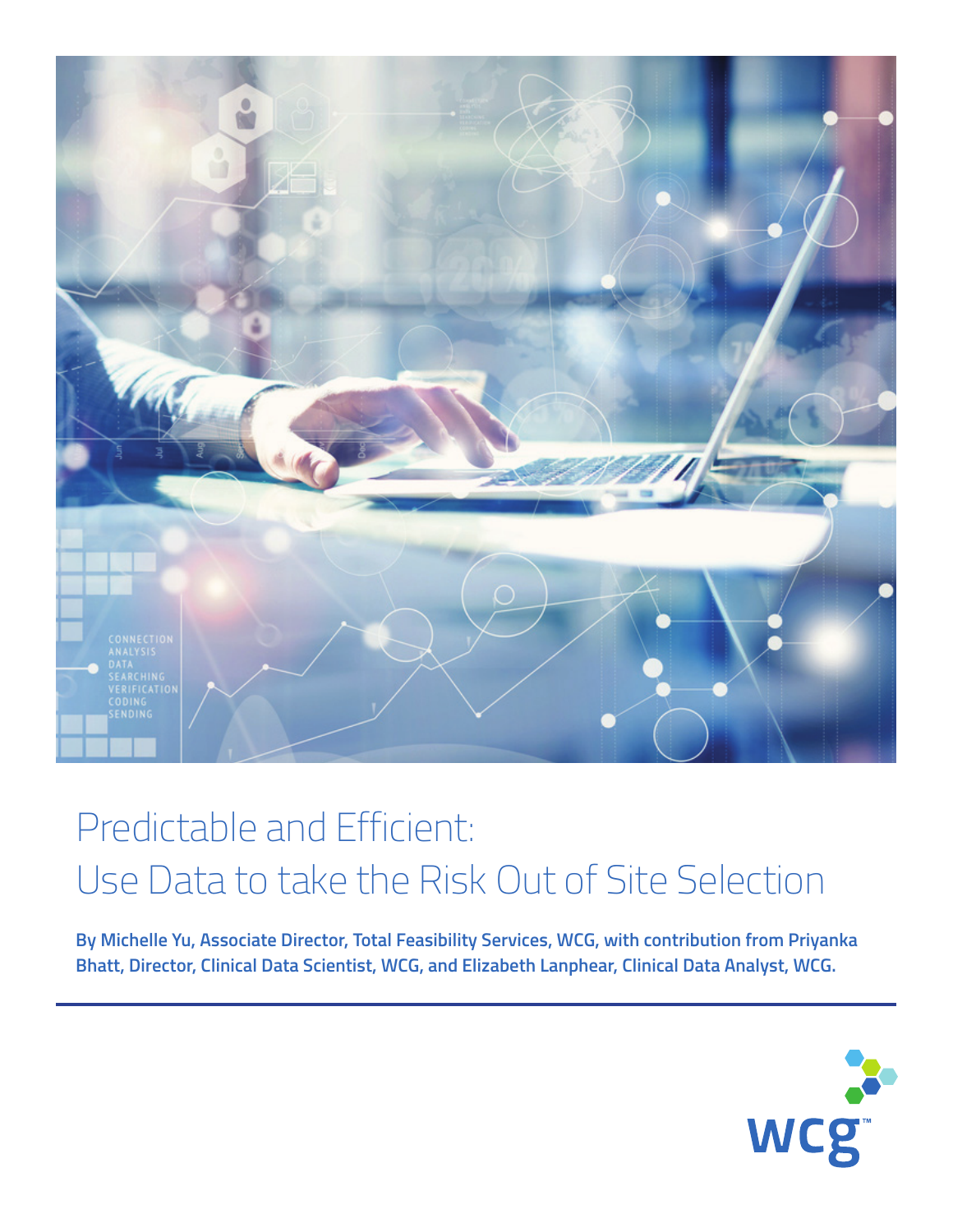

## Predictable and Efficient: Use Data to take the Risk Out of Site Selection

**By Michelle Yu, Associate Director, Total Feasibility Services, WCG, with contribution from Priyanka Bhatt, Director, Clinical Data Scientist, WCG, and Elizabeth Lanphear, Clinical Data Analyst, WCG.**

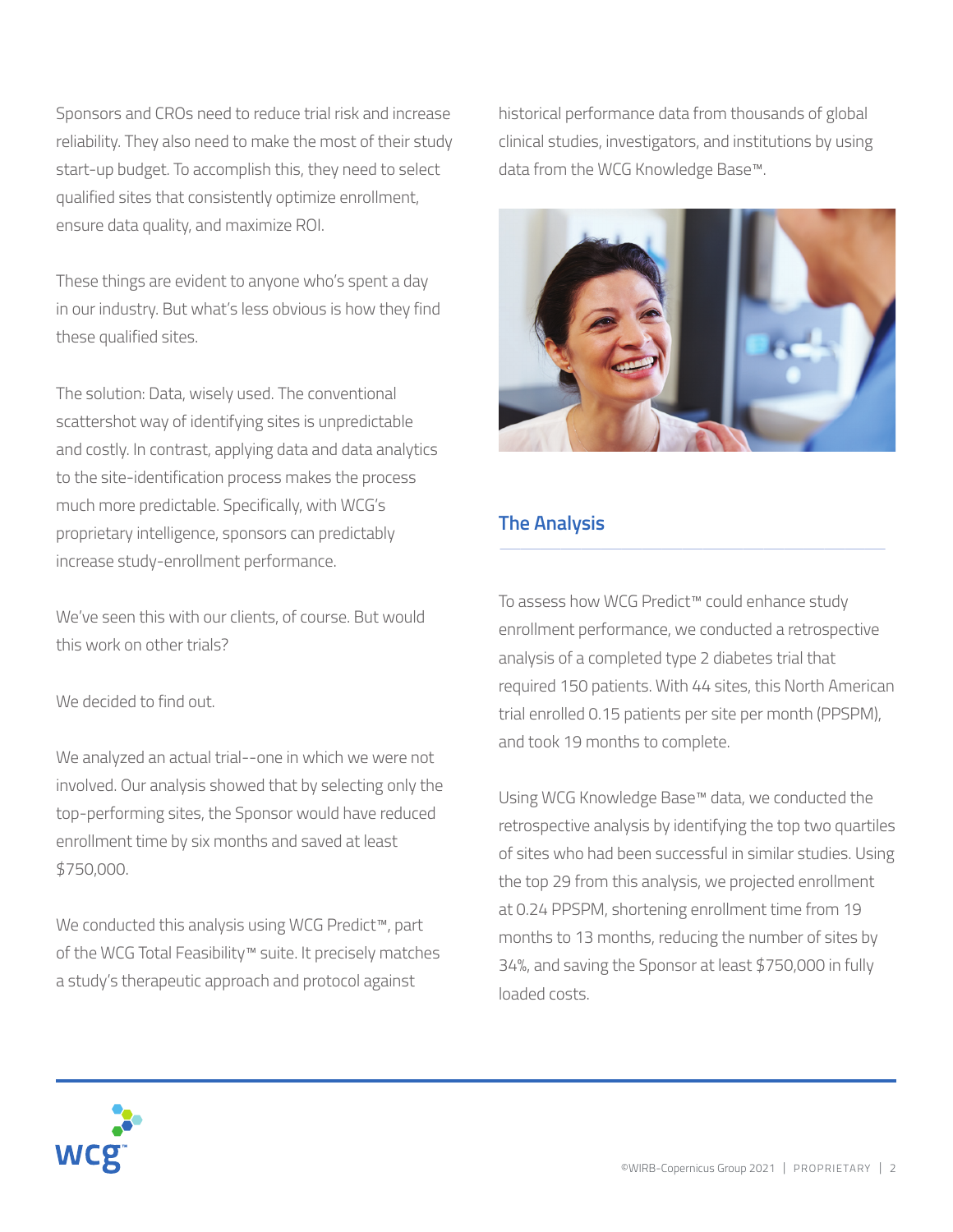Sponsors and CROs need to reduce trial risk and increase reliability. They also need to make the most of their study start-up budget. To accomplish this, they need to select qualified sites that consistently optimize enrollment, ensure data quality, and maximize ROI.

These things are evident to anyone who's spent a day in our industry. But what's less obvious is how they find these qualified sites.

The solution: Data, wisely used. The conventional scattershot way of identifying sites is unpredictable and costly. In contrast, applying data and data analytics to the site-identification process makes the process much more predictable. Specifically, with WCG's proprietary intelligence, sponsors can predictably increase study-enrollment performance.

We've seen this with our clients, of course. But would this work on other trials?

We decided to find out.

We analyzed an actual trial--one in which we were not involved. Our analysis showed that by selecting only the top-performing sites, the Sponsor would have reduced enrollment time by six months and saved at least \$750,000.

We conducted this analysis using WCG Predict™, part of the WCG Total Feasibility™ suite. It precisely matches a study's therapeutic approach and protocol against

historical performance data from thousands of global clinical studies, investigators, and institutions by using data from the WCG Knowledge Base™.



## **The Analysis**

To assess how WCG Predict™ could enhance study enrollment performance, we conducted a retrospective analysis of a completed type 2 diabetes trial that required 150 patients. With 44 sites, this North American trial enrolled 0.15 patients per site per month (PPSPM), and took 19 months to complete.

 $\frac{1}{\sqrt{2}}$  , and the set of the set of the set of the set of the set of the set of the set of the set of the set of the set of the set of the set of the set of the set of the set of the set of the set of the set of the

Using WCG Knowledge Base™ data, we conducted the retrospective analysis by identifying the top two quartiles of sites who had been successful in similar studies. Using the top 29 from this analysis, we projected enrollment at 0.24 PPSPM, shortening enrollment time from 19 months to 13 months, reducing the number of sites by 34%, and saving the Sponsor at least \$750,000 in fully loaded costs.

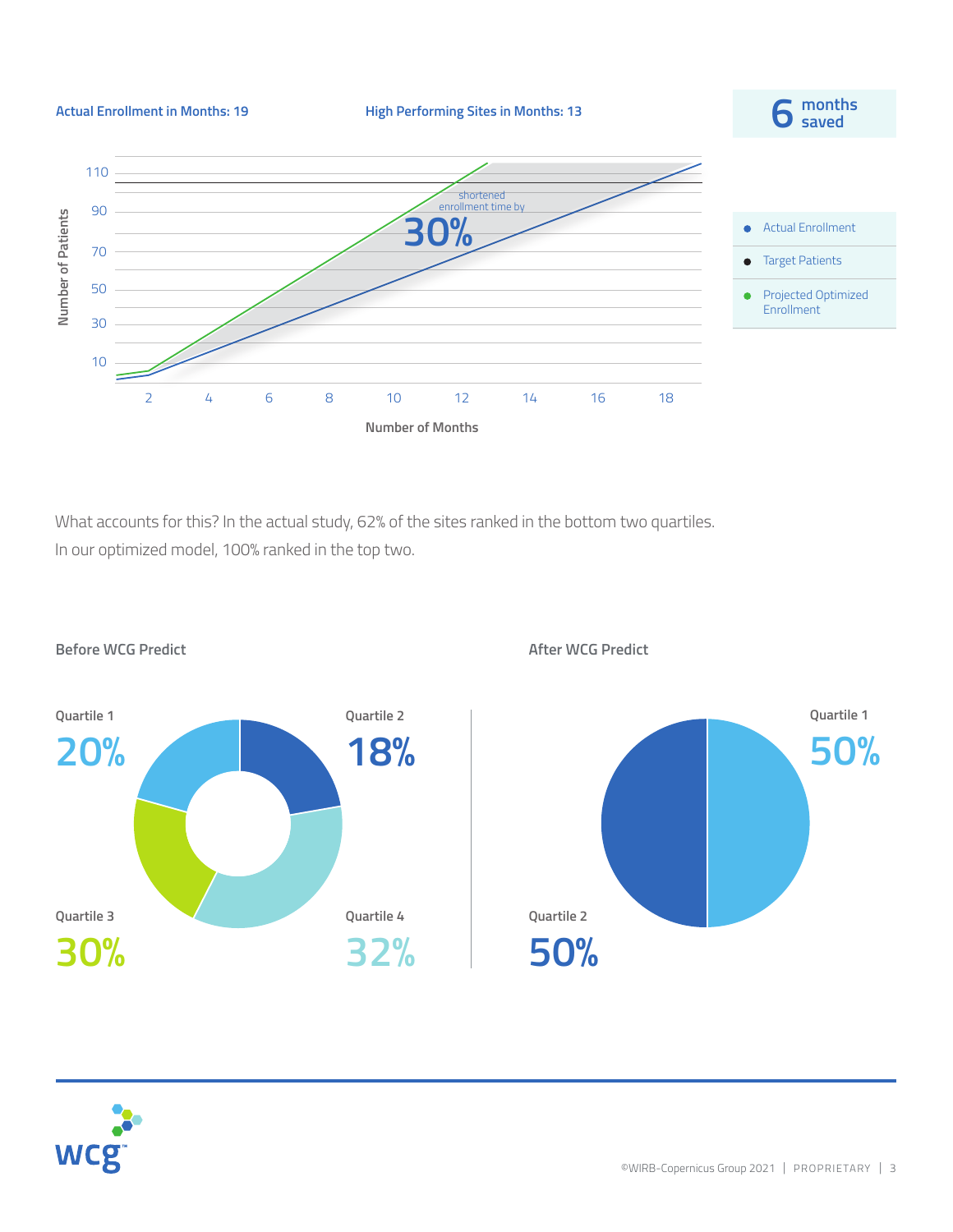

What accounts for this? In the actual study, 62% of the sites ranked in the bottom two quartiles. In our optimized model, 100% ranked in the top two.



**Before WCG Predict After WCG Predict**



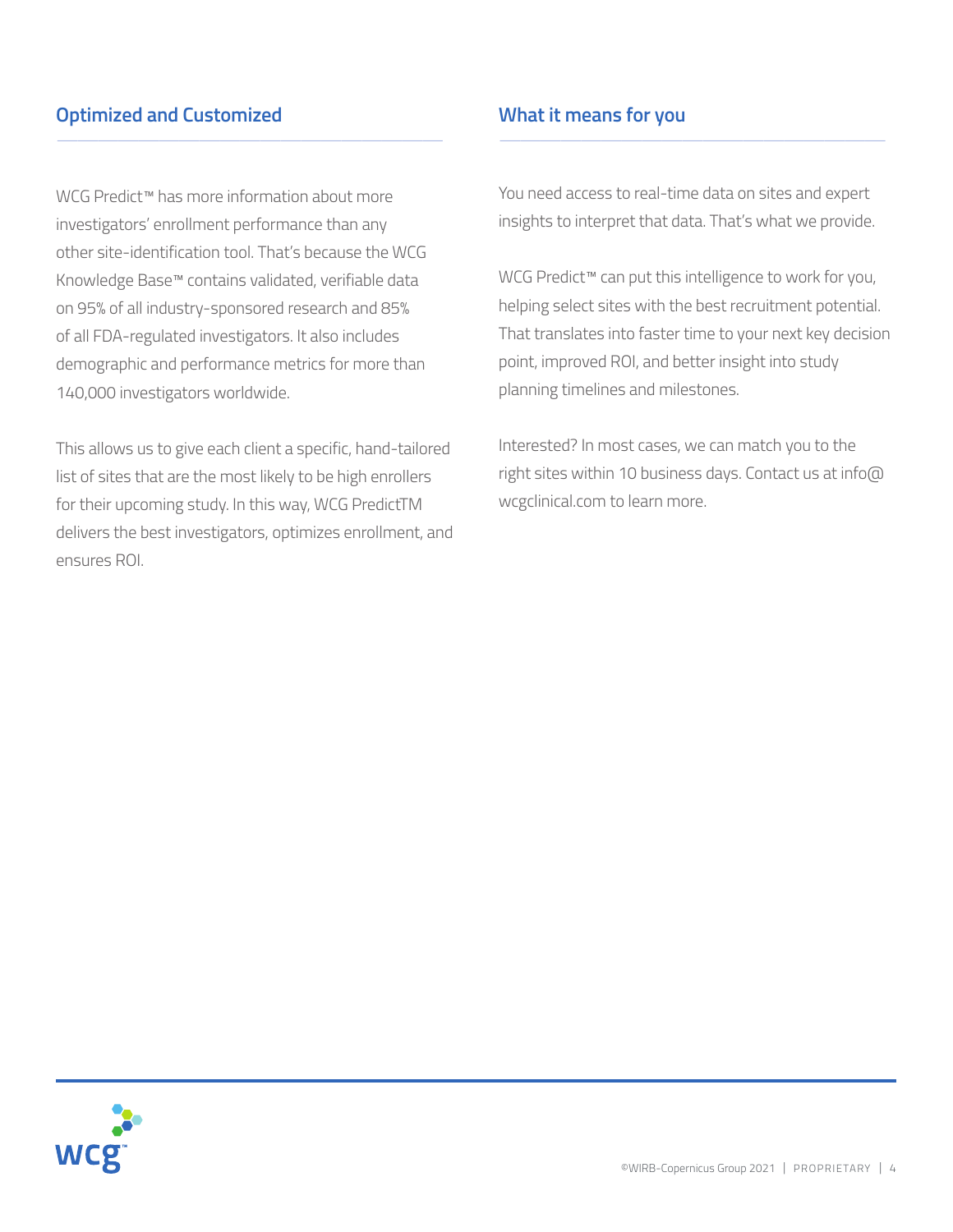## **Optimized and Customized**

WCG Predict™ has more information about more investigators' enrollment performance than any other site-identification tool. That's because the WCG Knowledge Base™ contains validated, verifiable data on 95% of all industry-sponsored research and 85% of all FDA-regulated investigators. It also includes demographic and performance metrics for more than 140,000 investigators worldwide.

 $\frac{1}{\sqrt{2}}$  , and the set of the set of the set of the set of the set of the set of the set of the set of the set of the set of the set of the set of the set of the set of the set of the set of the set of the set of the

This allows us to give each client a specific, hand-tailored list of sites that are the most likely to be high enrollers for their upcoming study. In this way, WCG PredictTM delivers the best investigators, optimizes enrollment, and ensures ROI.

## **What it means for you**

You need access to real-time data on sites and expert insights to interpret that data. That's what we provide.

 $\frac{1}{\sqrt{2}}$  , and the set of the set of the set of the set of the set of the set of the set of the set of the set of the set of the set of the set of the set of the set of the set of the set of the set of the set of the

WCG Predict™ can put this intelligence to work for you, helping select sites with the best recruitment potential. That translates into faster time to your next key decision point, improved ROI, and better insight into study planning timelines and milestones.

Interested? In most cases, we can match you to the right sites within 10 business days. Contact us at info@ wcgclinical.com to learn more.